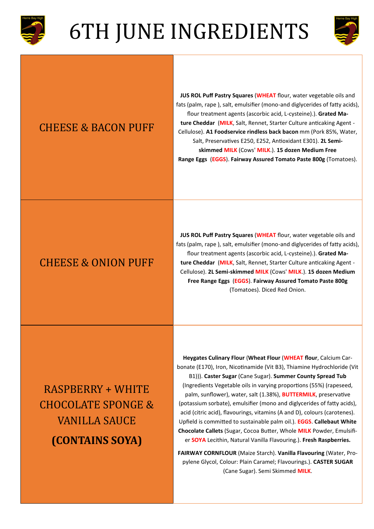



#### CHEESE & BACON PUFF

**JUS ROL Puff Pastry Squares** (**WHEAT** flour, water vegetable oils and fats (palm, rape ), salt, emulsifier (mono-and diglycerides of fatty acids), flour treatment agents (ascorbic acid, L-cysteine).). **Grated Mature Cheddar** (**MILK**, Salt, Rennet, Starter Culture anticaking Agent - Cellulose). **A1 Foodservice rindless back bacon** mm (Pork 85%, Water, Salt, Preservatives E250, E252, Antioxidant E301). **2L Semiskimmed MILK** (Cows' **MILK**.). **15 dozen Medium Free Range Eggs** (**EGGS**). **Fairway Assured Tomato Paste 800g** (Tomatoes).

#### CHEESE & ONION PUFF

**JUS ROL Puff Pastry Squares** (**WHEAT** flour, water vegetable oils and fats (palm, rape ), salt, emulsifier (mono-and diglycerides of fatty acids), flour treatment agents (ascorbic acid, L-cysteine).). **Grated Mature Cheddar** (**MILK**, Salt, Rennet, Starter Culture anticaking Agent - Cellulose). **2L Semi-skimmed MILK** (Cows' **MILK**.). **15 dozen Medium Free Range Eggs** (**EGGS**). **Fairway Assured Tomato Paste 800g** (Tomatoes). Diced Red Onion.

RASPBERRY + WHITE CHOCOLATE SPONGE & VANILLA SAUCE **(CONTAINS SOYA)**

**Heygates Culinary Flour** (**Wheat Flour** (**WHEAT flour**, Calcium Carbonate (E170), Iron, Nicotinamide (Vit B3), Thiamine Hydrochloride (Vit B1))). **Caster Sugar** (Cane Sugar). **Summer County Spread Tub** (Ingredients Vegetable oils in varying proportions (55%) (rapeseed, palm, sunflower), water, salt (1.38%), **BUTTERMILK**, preservative (potassium sorbate), emulsifier (mono and diglycerides of fatty acids), acid (citric acid), flavourings, vitamins (A and D), colours (carotenes). Upfield is committed to sustainable palm oil.). **EGGS**. **Callebaut White Chocolate Callets** (Sugar, Cocoa Butter, Whole **MILK** Powder, Emulsifier **SOYA** Lecithin, Natural Vanilla Flavouring.). **Fresh Raspberries.**

**FAIRWAY CORNFLOUR** (Maize Starch). **Vanilla Flavouring** (Water, Propylene Glycol, Colour: Plain Caramel; Flavourings.). **CASTER SUGAR**  (Cane Sugar). Semi Skimmed **MILK**.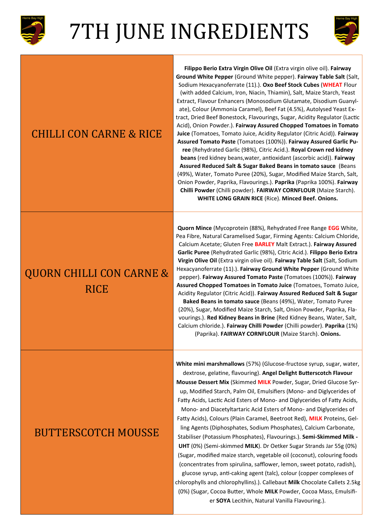



#### CHILLI CON CARNE & RICE

#### **Ground White Pepper** (Ground White pepper). **Fairway Table Salt** (Salt, Sodium Hexacyanoferrate (11).). **Oxo Beef Stock Cubes** (**WHEAT** Flour (with added Calcium, Iron, Niacin, Thiamin), Salt, Maize Starch, Yeast Extract, Flavour Enhancers (Monosodium Glutamate, Disodium Guanylate), Colour (Ammonia Caramel), Beef Fat (4.5%), Autolysed Yeast Extract, Dried Beef Bonestock, Flavourings, Sugar, Acidity Regulator (Lactic Acid), Onion Powder.). **Fairway Assured Chopped Tomatoes in Tomato Juice** (Tomatoes, Tomato Juice, Acidity Regulator (Citric Acid)). **Fairway Assured Tomato Paste** (Tomatoes (100%)). **Fairway Assured Garlic Puree** (Rehydrated Garlic (98%), Citric Acid.). **Royal Crown red kidney beans** (red kidney beans,water, antioxidant (ascorbic acid)). **Fairway Assured Reduced Salt & Sugar Baked Beans in tomato sauce** (Beans (49%), Water, Tomato Puree (20%), Sugar, Modified Maize Starch, Salt, Onion Powder, Paprika, Flavourings.). **Paprika** (Paprika 100%). **Fairway Chilli Powder** (Chilli powder). **FAIRWAY CORNFLOUR** (Maize Starch). **WHITE LONG GRAIN RICE** (Rice). **Minced Beef. Onions.**

**Filippo Berio Extra Virgin Olive Oil** (Extra virgin olive oil). **Fairway** 

### QUORN CHILLI CON CARNE & **RICE**

**Quorn Mince** (Mycoprotein (88%), Rehydrated Free Range **EGG** White, Pea Fibre, Natural Caramelised Sugar, Firming Agents: Calcium Chloride, Calcium Acetate; Gluten Free **BARLEY** Malt Extract.). **Fairway Assured Garlic Puree** (Rehydrated Garlic (98%), Citric Acid.). **Filippo Berio Extra Virgin Olive Oil** (Extra virgin olive oil). **Fairway Table Salt** (Salt, Sodium Hexacyanoferrate (11).). **Fairway Ground White Pepper** (Ground White pepper). **Fairway Assured Tomato Paste** (Tomatoes (100%)). **Fairway Assured Chopped Tomatoes in Tomato Juice** (Tomatoes, Tomato Juice, Acidity Regulator (Citric Acid)). **Fairway Assured Reduced Salt & Sugar Baked Beans in tomato sauce** (Beans (49%), Water, Tomato Puree

(20%), Sugar, Modified Maize Starch, Salt, Onion Powder, Paprika, Flavourings.). **Red Kidney Beans in Brine** (Red Kidney Beans, Water, Salt, Calcium chloride.). **Fairway Chilli Powder** (Chilli powder). **Paprika** (1%) (Paprika). **FAIRWAY CORNFLOUR** (Maize Starch). **Onions.** 

#### BUTTERSCOTCH MOUSSE

**White mini marshmallows** (57%) (Glucose-fructose syrup, sugar, water, dextrose, gelatine, flavouring). **Angel Delight Butterscotch Flavour Mousse Dessert Mix** (Skimmed **MILK** Powder, Sugar, Dried Glucose Syrup, Modified Starch, Palm Oil, Emulsifiers (Mono- and Diglycerides of Fatty Acids, Lactic Acid Esters of Mono- and Diglycerides of Fatty Acids, Mono- and Diacetyltartaric Acid Esters of Mono- and Diglycerides of Fatty Acids), Colours (Plain Caramel, Beetroot Red), **MILK** Proteins, Gelling Agents (Diphosphates, Sodium Phosphates), Calcium Carbonate, Stabiliser (Potassium Phosphates), Flavourings.). **Semi-Skimmed Milk - UHT** (0%) (Semi-skimmed **MILK**). Dr Oetker Sugar Strands Jar 55g (0%) (Sugar, modified maize starch, vegetable oil (coconut), colouring foods (concentrates from spirulina, safflower, lemon, sweet potato, radish), glucose syrup, anti-caking agent (talc), colour (copper complexes of chlorophylls and chlorophyllins).). Callebaut **Milk** Chocolate Callets 2.5kg (0%) (Sugar, Cocoa Butter, Whole **MILK** Powder, Cocoa Mass, Emulsifier **SOYA** Lecithin, Natural Vanilla Flavouring.).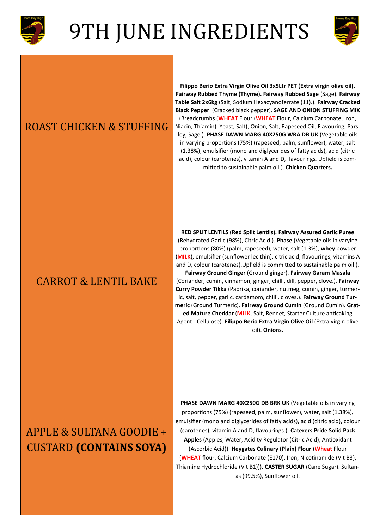



#### ROAST CHICKEN & STUFFING

**Filippo Berio Extra Virgin Olive Oil 3x5Ltr PET (Extra virgin olive oil). Fairway Rubbed Thyme (Thyme). Fairway Rubbed Sage** (Sage). **Fairway Table Salt 2x6kg** (Salt, Sodium Hexacyanoferrate (11).). **Fairway Cracked Black Pepper** (Cracked black pepper). **SAGE AND ONION STUFFING MIX**  (Breadcrumbs (**WHEAT** Flour (**WHEAT** Flour, Calcium Carbonate, Iron, Niacin, Thiamin), Yeast, Salt), Onion, Salt, Rapeseed Oil, Flavouring, Parsley, Sage.). **PHASE DAWN MARG 40X250G WRA DB UK** (Vegetable oils in varying proportions (75%) (rapeseed, palm, sunflower), water, salt (1.38%), emulsifier (mono and diglycerides of fatty acids), acid (citric acid), colour (carotenes), vitamin A and D, flavourings. Upfield is committed to sustainable palm oil.). **Chicken Quarters.** 

#### CARROT & LENTIL BAKE

**RED SPLIT LENTILS (Red Split Lentils). Fairway Assured Garlic Puree** (Rehydrated Garlic (98%), Citric Acid.). **Phase** (Vegetable oils in varying proportions (80%) (palm, rapeseed), water, salt (1.3%), **whey** powder (**MILK**), emulsifier (sunflower lecithin), citric acid, flavourings, vitamins A and D, colour (carotenes).Upfield is committed to sustainable palm oil.). **Fairway Ground Ginger** (Ground ginger). **Fairway Garam Masala**

(Coriander, cumin, cinnamon, ginger, chilli, dill, pepper, clove.). **Fairway Curry Powder Tikka** (Paprika, coriander, nutmeg, cumin, ginger, turmeric, salt, pepper, garlic, cardamom, chilli, cloves.). **Fairway Ground Turmeric** (Ground Turmeric). **Fairway Ground Cumin** (Ground Cumin). **Grated Mature Cheddar** (**MILK**, Salt, Rennet, Starter Culture anticaking Agent - Cellulose). **Filippo Berio Extra Virgin Olive Oil** (Extra virgin olive oil). **Onions.** 

### APPLE & SULTANA GOODIE + CUSTARD **(CONTAINS SOYA)**

**PHASE DAWN MARG 40X250G DB BRK UK** (Vegetable oils in varying proportions (75%) (rapeseed, palm, sunflower), water, salt (1.38%), emulsifier (mono and diglycerides of fatty acids), acid (citric acid), colour (carotenes), vitamin A and D, flavourings.). **Caterers Pride Solid Pack Apples** (Apples, Water, Acidity Regulator (Citric Acid), Antioxidant (Ascorbic Acid)). **Heygates Culinary (Plain) Flour** (**Wheat** Flour (**WHEAT** flour, Calcium Carbonate (E170), Iron, Nicotinamide (Vit B3), Thiamine Hydrochloride (Vit B1))). **CASTER SUGAR** (Cane Sugar). Sultanas (99.5%), Sunflower oil.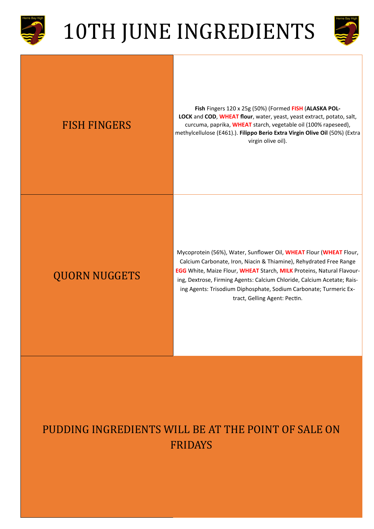



#### FISH FINGERS

**Fish** Fingers 120 x 25g (50%) (Formed **FISH** (**ALASKA POL-LOCK** and **COD**, **WHEAT flour**, water, yeast, yeast extract, potato, salt, curcuma, paprika, **WHEAT** starch, vegetable oil (100% rapeseed), methylcellulose (E461).). **Filippo Berio Extra Virgin Olive Oil** (50%) (Extra virgin olive oil).

#### QUORN NUGGETS

Mycoprotein (56%), Water, Sunflower Oil, **WHEAT** Flour (**WHEAT** Flour, Calcium Carbonate, Iron, Niacin & Thiamine), Rehydrated Free Range **EGG** White, Maize Flour, **WHEAT** Starch, **MILK** Proteins, Natural Flavouring, Dextrose, Firming Agents: Calcium Chloride, Calcium Acetate; Raising Agents: Trisodium Diphosphate, Sodium Carbonate; Turmeric Extract, Gelling Agent: Pectin.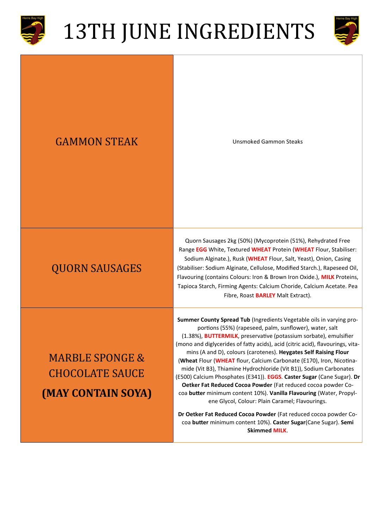



#### GAMMON STEAK Unsmoked Gammon Steaks

#### QUORN SAUSAGES

### MARBLE SPONGE & CHOCOLATE SAUCE **(MAY CONTAIN SOYA)**

Quorn Sausages 2kg (50%) (Mycoprotein (51%), Rehydrated Free Range **EGG** White, Textured **WHEAT** Protein (**WHEAT** Flour, Stabiliser: Sodium Alginate.), Rusk (**WHEAT** Flour, Salt, Yeast), Onion, Casing (Stabiliser: Sodium Alginate, Cellulose, Modified Starch.), Rapeseed Oil, Flavouring (contains Colours: Iron & Brown Iron Oxide.), **MILK** Proteins, Tapioca Starch, Firming Agents: Calcium Choride, Calcium Acetate. Pea Fibre, Roast **BARLEY** Malt Extract).

**Summer County Spread Tub** (Ingredients Vegetable oils in varying proportions (55%) (rapeseed, palm, sunflower), water, salt (1.38%), **BUTTERMILK**, preservative (potassium sorbate), emulsifier (mono and diglycerides of fatty acids), acid (citric acid), flavourings, vitamins (A and D), colours (carotenes). **Heygates Self Raising Flour** (**Wheat** Flour (**WHEAT** flour, Calcium Carbonate (E170), Iron, Nicotinamide (Vit B3), Thiamine Hydrochloride (Vit B1)), Sodium Carbonates (E500) Calcium Phosphates (E341)). **EGGS**. **Caster Sugar** (Cane Sugar). **Dr Oetker Fat Reduced Cocoa Powder** (Fat reduced cocoa powder Cocoa **butter** minimum content 10%). **Vanilla Flavouring** (Water, Propylene Glycol, Colour: Plain Caramel; Flavourings.

**Dr Oetker Fat Reduced Cocoa Powder** (Fat reduced cocoa powder Cocoa **butter** minimum content 10%). **Caster Sugar**(Cane Sugar). **Semi Skimmed MILK**.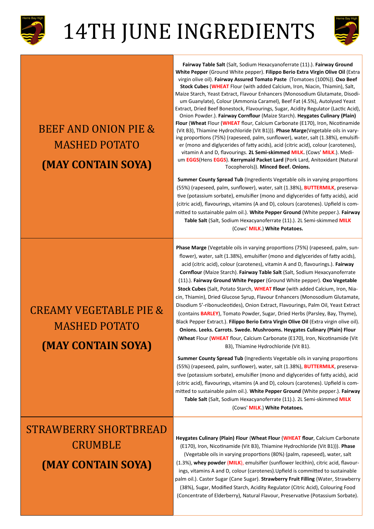



### BEEF AND ONION PIE & MASHED POTATO **(MAY CONTAIN SOYA)**

**Fairway Table Salt** (Salt, Sodium Hexacyanoferrate (11).). **Fairway Ground White Pepper** (Ground White pepper). **Filippo Berio Extra Virgin Olive Oil** (Extra virgin olive oil). **Fairway Assured Tomato Paste** (Tomatoes (100%)). **Oxo Beef Stock Cubes** (**WHEAT** Flour (with added Calcium, Iron, Niacin, Thiamin), Salt, Maize Starch, Yeast Extract, Flavour Enhancers (Monosodium Glutamate, Disodium Guanylate), Colour (Ammonia Caramel), Beef Fat (4.5%), Autolysed Yeast Extract, Dried Beef Bonestock, Flavourings, Sugar, Acidity Regulator (Lactic Acid), Onion Powder.). **Fairway Cornflour** (Maize Starch). **Heygates Culinary (Plain) Flour** (**Wheat** Flour (**WHEAT** flour, Calcium Carbonate (E170), Iron, Nicotinamide (Vit B3), Thiamine Hydrochloride (Vit B1))). **Phase Marge**(Vegetable oils in varying proportions (75%) (rapeseed, palm, sunflower), water, salt (1.38%), emulsifier (mono and diglycerides of fatty acids), acid (citric acid), colour (carotenes), vitamin A and D, flavourings. **2L Semi-skimmed MILK.** (Cows' **MILK**.). Medium **EGGS**(Hens **EGGS**). **Kerrymaid Packet Lard** (Pork Lard, Anitoxidant (Natural Tocopherols)). **Minced Beef. Onions.** 

**Summer County Spread Tub** (Ingredients Vegetable oils in varying proportions (55%) (rapeseed, palm, sunflower), water, salt (1.38%), **BUTTERMILK**, preservative (potassium sorbate), emulsifier (mono and diglycerides of fatty acids), acid (citric acid), flavourings, vitamins (A and D), colours (carotenes). Upfield is committed to sustainable palm oil.). **White Pepper Ground** (White pepper.). **Fairway Table Salt** (Salt, Sodium Hexacyanoferrate (11).). 2L Semi-skimmed **MILK** (Cows' **MILK**.) **White Potatoes.** 

### CREAMY VEGETABLE PIE & MASHED POTATO **(MAY CONTAIN SOYA)**

**Phase Marge** (Vegetable oils in varying proportions (75%) (rapeseed, palm, sunflower), water, salt (1.38%), emulsifier (mono and diglycerides of fatty acids), acid (citric acid), colour (carotenes), vitamin A and D, flavourings.). **Fairway Cornflour** (Maize Starch). **Fairway Table Salt** (Salt, Sodium Hexacyanoferrate (11).). **Fairway Ground White Pepper** (Ground White pepper). **Oxo Vegetable Stock Cubes** (Salt, Potato Starch, **WHEAT Flour** (with added Calcium, Iron, Niacin, Thiamin), Dried Glucose Syrup, Flavour Enhancers (Monosodium Glutamate, Disodium 5'-ribonucleotides), Onion Extract, Flavourings, Palm Oil, Yeast Extract (contains **BARLEY**), Tomato Powder, Sugar, Dried Herbs (Parsley, Bay, Thyme), Black Pepper Extract.). **Filippo Berio Extra Virgin Olive Oil** (Extra virgin olive oil). **Onions. Leeks. Carrots. Swede. Mushrooms. Heygates Culinary (Plain) Flour**  (**Wheat** Flour (**WHEAT** flour, Calcium Carbonate (E170), Iron, Nicotinamide (Vit B3), Thiamine Hydrochloride (Vit B1).

**Summer County Spread Tub** (Ingredients Vegetable oils in varying proportions (55%) (rapeseed, palm, sunflower), water, salt (1.38%), **BUTTERMILK**, preservative (potassium sorbate), emulsifier (mono and diglycerides of fatty acids), acid (citric acid), flavourings, vitamins (A and D), colours (carotenes). Upfield is committed to sustainable palm oil.). **White Pepper Ground** (White pepper.). **Fairway Table Salt** (Salt, Sodium Hexacyanoferrate (11).). 2L Semi-skimmed **MILK** (Cows' **MILK**.) **White Potatoes.** 

### STRAWBERRY SHORTBREAD CRUMBLE **(MAY CONTAIN SOYA)**

**Heygates Culinary (Plain) Flour** (**Wheat Flour** (**WHEAT flour**, Calcium Carbonate (E170), Iron, Nicotinamide (Vit B3), Thiamine Hydrochloride (Vit B1))). **Phase** (Vegetable oils in varying proportions (80%) (palm, rapeseed), water, salt (1.3%), **whey powder** (**MILK**), emulsifier (sunflower lecithin), citric acid, flavourings, vitamins A and D, colour (carotenes).Upfield is committed to sustainable palm oil.). Caster Sugar (Cane Sugar). **Strawberry Fruit Filling** (Water, Strawberry (38%), Sugar, Modified Starch, Acidity Regulator (Citric Acid), Colouring Food (Concentrate of Elderberry), Natural Flavour, Preservative (Potassium Sorbate).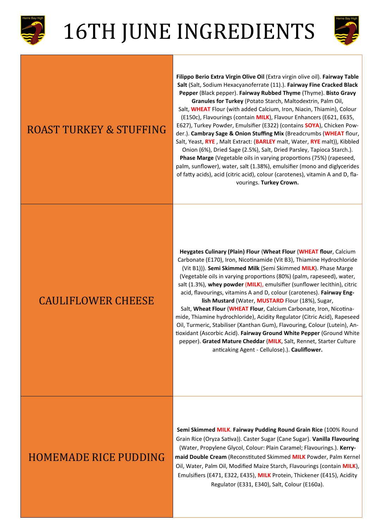



#### ROAST TURKEY & STUFFING

**Filippo Berio Extra Virgin Olive Oil** (Extra virgin olive oil). **Fairway Table Salt** (Salt, Sodium Hexacyanoferrate (11).). **Fairway Fine Cracked Black Pepper** (Black pepper). **Fairway Rubbed Thyme** (Thyme). **Bisto Gravy Granules for Turkey** (Potato Starch, Maltodextrin, Palm Oil, Salt, **WHEAT** Flour (with added Calcium, Iron, Niacin, Thiamin), Colour (E150c), Flavourings (contain **MILK**), Flavour Enhancers (E621, E635, E627), Turkey Powder, Emulsifier (E322) (contains **SOYA**), Chicken Powder.). **Cambray Sage & Onion Stuffing Mix** (Breadcrumbs (**WHEAT** flour, Salt, Yeast, **RYE** , Malt Extract: (**BARLEY** malt, Water, **RYE** malt)), Kibbled Onion (6%), Dried Sage (2.5%), Salt, Dried Parsley, Tapioca Starch.). **Phase Marge** (Vegetable oils in varying proportions (75%) (rapeseed, palm, sunflower), water, salt (1.38%), emulsifier (mono and diglycerides of fatty acids), acid (citric acid), colour (carotenes), vitamin A and D, flavourings. **Turkey Crown.** 

#### CAULIFLOWER CHEESE

**Heygates Culinary (Plain) Flour** (**Wheat Flour** (**WHEAT flour**, Calcium Carbonate (E170), Iron, Nicotinamide (Vit B3), Thiamine Hydrochloride (Vit B1))). **Semi Skimmed Milk** (Semi Skimmed **MILK**). Phase Marge (Vegetable oils in varying proportions (80%) (palm, rapeseed), water, salt (1.3%), **whey powder** (**MILK**), emulsifier (sunflower lecithin), citric acid, flavourings, vitamins A and D, colour (carotenes). **Fairway English Mustard** (Water, **MUSTARD** Flour (18%), Sugar,

Salt, **Wheat Flour** (**WHEAT Flour**, Calcium Carbonate, Iron, Nicotinamide, Thiamine hydrochloride), Acidity Regulator (Citric Acid), Rapeseed Oil, Turmeric, Stabiliser (Xanthan Gum), Flavouring, Colour (Lutein), Antioxidant (Ascorbic Acid). **Fairway Ground White Pepper** (Ground White pepper). **Grated Mature Cheddar** (**MILK**, Salt, Rennet, Starter Culture anticaking Agent - Cellulose).). **Cauliflower.** 

#### HOMEMADE RICE PUDDING

**Semi Skimmed MILK**. **Fairway Pudding Round Grain Rice** (100% Round Grain Rice (Oryza Sativa)). Caster Sugar (Cane Sugar). **Vanilla Flavouring**  (Water, Propylene Glycol, Colour: Plain Caramel; Flavourings.). **Kerrymaid Double Cream** (Reconstituted Skimmed **MILK** Powder, Palm Kernel Oil, Water, Palm Oil, Modified Maize Starch, Flavourings (contain **MILK**), Emulsifiers (E471, E322, E435), **MILK** Protein, Thickener (E415), Acidity Regulator (E331, E340), Salt, Colour (E160a).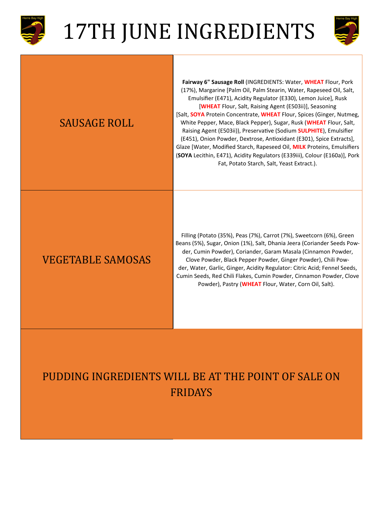



| <b>SAUSAGE ROLL</b>      | Fairway 6" Sausage Roll (INGREDIENTS: Water, WHEAT Flour, Pork<br>(17%), Margarine [Palm Oil, Palm Stearin, Water, Rapeseed Oil, Salt,<br>Emulsifier (E471), Acidity Regulator (E330), Lemon Juice], Rusk<br>[WHEAT Flour, Salt, Raising Agent (E503ii)], Seasoning<br>[Salt, SOYA Protein Concentrate, WHEAT Flour, Spices (Ginger, Nutmeg,<br>White Pepper, Mace, Black Pepper), Sugar, Rusk (WHEAT Flour, Salt,<br>Raising Agent (E503ii)), Preservative (Sodium SULPHITE), Emulsifier<br>(E451), Onion Powder, Dextrose, Antioxidant (E301), Spice Extracts],<br>Glaze [Water, Modified Starch, Rapeseed Oil, MILK Proteins, Emulsifiers<br>(SOYA Lecithin, E471), Acidity Regulators (E339iii), Colour (E160a)], Pork<br>Fat, Potato Starch, Salt, Yeast Extract.). |
|--------------------------|--------------------------------------------------------------------------------------------------------------------------------------------------------------------------------------------------------------------------------------------------------------------------------------------------------------------------------------------------------------------------------------------------------------------------------------------------------------------------------------------------------------------------------------------------------------------------------------------------------------------------------------------------------------------------------------------------------------------------------------------------------------------------|
| <b>VEGETABLE SAMOSAS</b> | Filling (Potato (35%), Peas (7%), Carrot (7%), Sweetcorn (6%), Green<br>Beans (5%), Sugar, Onion (1%), Salt, Dhania Jeera (Coriander Seeds Pow-<br>der, Cumin Powder), Coriander, Garam Masala (Cinnamon Powder,<br>Clove Powder, Black Pepper Powder, Ginger Powder), Chili Pow-<br>der, Water, Garlic, Ginger, Acidity Regulator: Citric Acid; Fennel Seeds,<br>Cumin Seeds, Red Chili Flakes, Cumin Powder, Cinnamon Powder, Clove<br>Powder), Pastry (WHEAT Flour, Water, Corn Oil, Salt).                                                                                                                                                                                                                                                                           |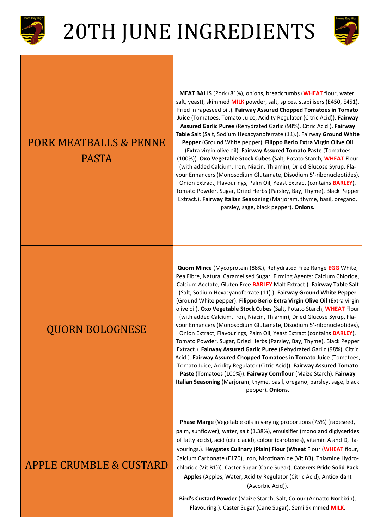



#### PORK MEATBALLS & PENNE PASTA

**MEAT BALLS** (Pork (81%), onions, breadcrumbs (**WHEAT** flour, water, salt, yeast), skimmed **MILK** powder, salt, spices, stabilisers (E450, E451). Fried in rapeseed oil.). **Fairway Assured Chopped Tomatoes in Tomato Juice** (Tomatoes, Tomato Juice, Acidity Regulator (Citric Acid)). **Fairway Assured Garlic Puree** (Rehydrated Garlic (98%), Citric Acid.). **Fairway Table Salt** (Salt, Sodium Hexacyanoferrate (11).). Fairway **Ground White** 

**Pepper** (Ground White pepper). **Filippo Berio Extra Virgin Olive Oil**  (Extra virgin olive oil). **Fairway Assured Tomato Paste** (Tomatoes (100%)). **Oxo Vegetable Stock Cubes** (Salt, Potato Starch, **WHEAT** Flour (with added Calcium, Iron, Niacin, Thiamin), Dried Glucose Syrup, Flavour Enhancers (Monosodium Glutamate, Disodium 5'-ribonucleotides), Onion Extract, Flavourings, Palm Oil, Yeast Extract (contains **BARLEY**), Tomato Powder, Sugar, Dried Herbs (Parsley, Bay, Thyme), Black Pepper Extract.). **Fairway Italian Seasoning** (Marjoram, thyme, basil, oregano, parsley, sage, black pepper). **Onions.** 

#### QUORN BOLOGNESE

**Quorn Mince** (Mycoprotein (88%), Rehydrated Free Range **EGG** White, Pea Fibre, Natural Caramelised Sugar, Firming Agents: Calcium Chloride, Calcium Acetate; Gluten Free **BARLEY** Malt Extract.). **Fairway Table Salt**  (Salt, Sodium Hexacyanoferrate (11).). **Fairway Ground White Pepper**  (Ground White pepper). **Filippo Berio Extra Virgin Olive Oil** (Extra virgin olive oil). **Oxo Vegetable Stock Cubes** (Salt, Potato Starch, **WHEAT** Flour (with added Calcium, Iron, Niacin, Thiamin), Dried Glucose Syrup, Flavour Enhancers (Monosodium Glutamate, Disodium 5'-ribonucleotides), Onion Extract, Flavourings, Palm Oil, Yeast Extract (contains **BARLEY**), Tomato Powder, Sugar, Dried Herbs (Parsley, Bay, Thyme), Black Pepper Extract.). **Fairway Assured Garlic Puree** (Rehydrated Garlic (98%), Citric Acid.). **Fairway Assured Chopped Tomatoes in Tomato Juice** (Tomatoes, Tomato Juice, Acidity Regulator (Citric Acid)). **Fairway Assured Tomato Paste** (Tomatoes (100%)). **Fairway Cornflour** (Maize Starch). **Fairway Italian Seasoning** (Marjoram, thyme, basil, oregano, parsley, sage, black pepper). **Onions.** 

#### APPLE CRUMBLE & CUSTARD

**Phase Marge** (Vegetable oils in varying proportions (75%) (rapeseed, palm, sunflower), water, salt (1.38%), emulsifier (mono and diglycerides of fatty acids), acid (citric acid), colour (carotenes), vitamin A and D, flavourings.). **Heygates Culinary (Plain) Flour** (**Wheat** Flour (**WHEAT** flour, Calcium Carbonate (E170), Iron, Nicotinamide (Vit B3), Thiamine Hydrochloride (Vit B1))). Caster Sugar (Cane Sugar). **Caterers Pride Solid Pack Apples** (Apples, Water, Acidity Regulator (Citric Acid), Antioxidant (Ascorbic Acid)).

**Bird's Custard Powder** (Maize Starch, Salt, Colour (Annatto Norbixin), Flavouring.). Caster Sugar (Cane Sugar). Semi Skimmed **MILK**.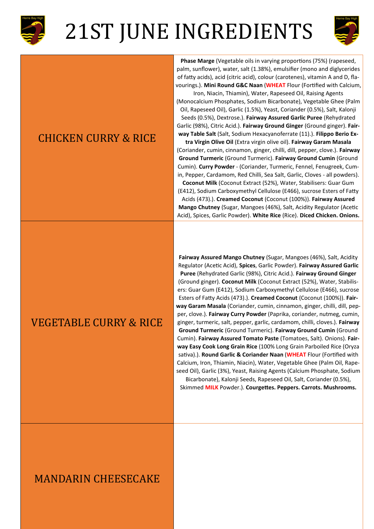



#### CHICKEN CURRY & RICE

**Phase Marge** (Vegetable oils in varying proportions (75%) (rapeseed, palm, sunflower), water, salt (1.38%), emulsifier (mono and diglycerides of fatty acids), acid (citric acid), colour (carotenes), vitamin A and D, flavourings.). **Mini Round G&C Naan** (**WHEAT** Flour (Fortified with Calcium,

Iron, Niacin, Thiamin), Water, Rapeseed Oil, Raising Agents (Monocalcium Phosphates, Sodium Bicarbonate), Vegetable Ghee (Palm Oil, Rapeseed Oil), Garlic (1.5%), Yeast, Coriander (0.5%), Salt, Kalonji Seeds (0.5%), Dextrose.). **Fairway Assured Garlic Puree** (Rehydrated Garlic (98%), Citric Acid.). **Fairway Ground Ginger** (Ground ginger). **Fairway Table Salt** (Salt, Sodium Hexacyanoferrate (11).). **Filippo Berio Ex-**

**tra Virgin Olive Oil** (Extra virgin olive oil). **Fairway Garam Masala** (Coriander, cumin, cinnamon, ginger, chilli, dill, pepper, clove.). **Fairway Ground Turmeric** (Ground Turmeric). **Fairway Ground Cumin** (Ground Cumin). **Curry Powder** - (Coriander, Turmeric, Fennel, Fenugreek, Cumin, Pepper, Cardamom, Red Chilli, Sea Salt, Garlic, Cloves - all powders).

**Coconut Milk** (Coconut Extract (52%), Water, Stabilisers: Guar Gum (E412), Sodium Carboxymethyl Cellulose (E466), sucrose Esters of Fatty Acids (473).). **Creamed Coconut** (Coconut (100%)). **Fairway Assured Mango Chutney** (Sugar, Mangoes (46%), Salt, Acidity Regulator (Acetic Acid), Spices, Garlic Powder). **White Rice** (Rice). **Diced Chicken. Onions.** 

#### VEGETABLE CURRY & RICE

**Fairway Assured Mango Chutney** (Sugar, Mangoes (46%), Salt, Acidity Regulator (Acetic Acid), **Spices**, Garlic Powder). **Fairway Assured Garlic Puree** (Rehydrated Garlic (98%), Citric Acid.). **Fairway Ground Ginger**  (Ground ginger). **Coconut Milk** (Coconut Extract (52%), Water, Stabilisers: Guar Gum (E412), Sodium Carboxymethyl Cellulose (E466), sucrose Esters of Fatty Acids (473).). **Creamed Coconut** (Coconut (100%)). **Fairway Garam Masala** (Coriander, cumin, cinnamon, ginger, chilli, dill, pepper, clove.). **Fairway Curry Powder** (Paprika, coriander, nutmeg, cumin, ginger, turmeric, salt, pepper, garlic, cardamom, chilli, cloves.). **Fairway Ground Turmeric** (Ground Turmeric). **Fairway Ground Cumin** (Ground Cumin). **Fairway Assured Tomato Paste** (Tomatoes, Salt). Onions). **Fairway Easy Cook Long Grain Rice** (100% Long Grain Parboiled Rice (Oryza sativa).). **Round Garlic & Coriander Naan** (**WHEAT** Flour (Fortified with Calcium, Iron, Thiamin, Niacin), Water, Vegetable Ghee (Palm Oil, Rapeseed Oil), Garlic (3%), Yeast, Raising Agents (Calcium Phosphate, Sodium Bicarbonate), Kalonji Seeds, Rapeseed Oil, Salt, Coriander (0.5%),

Skimmed **MILK** Powder.). **Courgettes. Peppers. Carrots. Mushrooms.** 

#### MANDARIN CHEESECAKE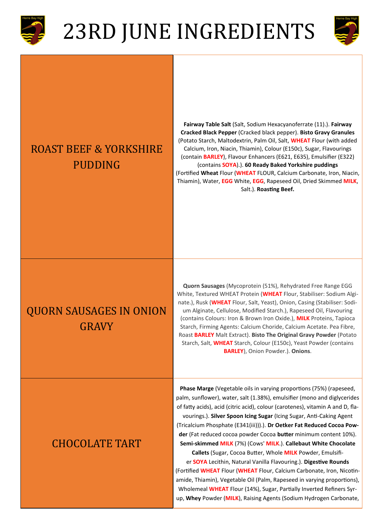

## 23RD JUNE INGREDIENTS



### ROAST BEEF & YORKSHIRE PUDDING

**Fairway Table Salt** (Salt, Sodium Hexacyanoferrate (11).). **Fairway Cracked Black Pepper** (Cracked black pepper). **Bisto Gravy Granules**  (Potato Starch, Maltodextrin, Palm Oil, Salt, **WHEAT** Flour (with added Calcium, Iron, Niacin, Thiamin), Colour (E150c), Sugar, Flavourings (contain **BARLEY**), Flavour Enhancers (E621, E635), Emulsifier (E322) (contains **SOYA**).). **60 Ready Baked Yorkshire puddings**  (Fortified **Wheat** Flour (**WHEAT** FLOUR, Calcium Carbonate, Iron, Niacin, Thiamin), Water, **EGG** White, **EGG**, Rapeseed Oil, Dried Skimmed **MILK**, Salt.). **Roasting Beef.** 

### QUORN SAUSAGES IN ONION GRAVY

**Quorn Sausages** (Mycoprotein (51%), Rehydrated Free Range EGG White, Textured WHEAT Protein (**WHEAT** Flour, Stabiliser: Sodium Alginate.), Rusk (**WHEAT** Flour, Salt, Yeast), Onion, Casing (Stabiliser: Sodium Alginate, Cellulose, Modified Starch.), Rapeseed Oil, Flavouring (contains Colours: Iron & Brown Iron Oxide.), **MILK** Proteins, Tapioca Starch, Firming Agents: Calcium Choride, Calcium Acetate. Pea Fibre, Roast **BARLEY** Malt Extract). **Bisto The Original Gravy Powder** (Potato Starch, Salt, **WHEAT** Starch, Colour (E150c), Yeast Powder (contains **BARLEY**), Onion Powder.). **Onions**.

#### CHOCOLATE TART

palm, sunflower), water, salt (1.38%), emulsifier (mono and diglycerides of fatty acids), acid (citric acid), colour (carotenes), vitamin A and D, flavourings.). **Silver Spoon Icing Sugar** (Icing Sugar, Anti-Caking Agent (Tricalcium Phosphate (E341(iii))).). **Dr Oetker Fat Reduced Cocoa Powder** (Fat reduced cocoa powder Cocoa **butter** minimum content 10%). **Semi-skimmed MILK** (7%) (Cows' **MILK**.). **Callebaut White Chocolate Callets** (Sugar, Cocoa Butter, Whole **MILK** Powder, Emulsifier **SOYA** Lecithin, Natural Vanilla Flavouring.). **Digestive Rounds**  (Fortified **WHEAT** Flour (**WHEAT** Flour, Calcium Carbonate, Iron, Nicotin-

**Phase Marge** (Vegetable oils in varying proportions (75%) (rapeseed,

amide, Thiamin), Vegetable Oil (Palm, Rapeseed in varying proportions), Wholemeal **WHEAT** Flour (14%), Sugar, Partially Inverted Refiners Syrup, **Whey** Powder (**MILK**), Raising Agents (Sodium Hydrogen Carbonate,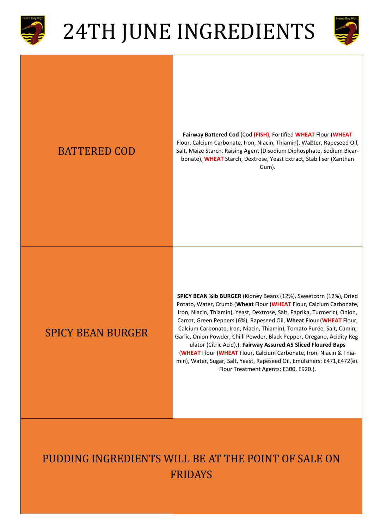



### BATTERED COD

**Fairway Battered Cod** (Cod **(FISH)**, Fortified **WHEAT** Flour (**WHEAT** Flour, Calcium Carbonate, Iron, Niacin, Thiamin), Wallter, Rapeseed Oil, Salt, Maize Starch, Raising Agent (Disodium Diphosphate, Sodium Bicarbonate), **WHEAT** Starch, Dextrose, Yeast Extract, Stabiliser (Xanthan Gum).

#### SPICY BEAN BURGER

**SPICY BEAN ¼lb BURGER** (Kidney Beans (12%), Sweetcorn (12%), Dried Potato, Water, Crumb (**Wheat** Flour (**WHEAT** Flour, Calcium Carbonate, Iron, Niacin, Thiamin), Yeast, Dextrose, Salt, Paprika, Turmeric), Onion, Carrot, Green Peppers (6%), Rapeseed Oil, **Wheat** Flour (**WHEAT** Flour, Calcium Carbonate, Iron, Niacin, Thiamin), Tomato Purée, Salt, Cumin, Garlic, Onion Powder, Chilli Powder, Black Pepper, Oregano, Acidity Regulator (Citric Acid).). **Fairway Assured A5 Sliced Floured Baps**  (**WHEAT** Flour (**WHEAT** Flour, Calcium Carbonate, Iron, Niacin & Thiamin), Water, Sugar, Salt, Yeast, Rapeseed Oil, Emulsifiers: E471,E472(e). Flour Treatment Agents: E300, E920.).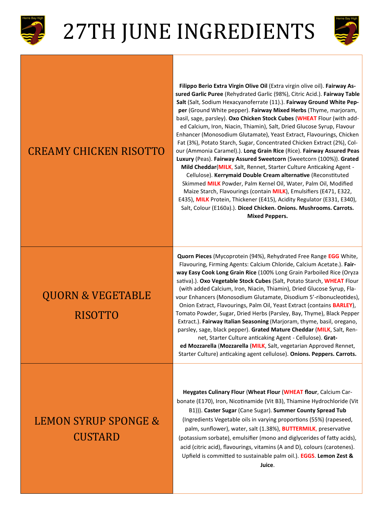



#### CREAMY CHICKEN RISOTTO

### QUORN & VEGETABLE RISOTTO

**Filippo Berio Extra Virgin Olive Oil** (Extra virgin olive oil). **Fairway Assured Garlic Puree** (Rehydrated Garlic (98%), Citric Acid.). **Fairway Table Salt** (Salt, Sodium Hexacyanoferrate (11).). **Fairway Ground White Pepper** (Ground White pepper). **Fairway Mixed Herbs** (Thyme, marjoram, basil, sage, parsley). **Oxo Chicken Stock Cubes** (**WHEAT** Flour (with added Calcium, Iron, Niacin, Thiamin), Salt, Dried Glucose Syrup, Flavour Enhancer (Monosodium Glutamate), Yeast Extract, Flavourings, Chicken Fat (3%), Potato Starch, Sugar, Concentrated Chicken Extract (2%), Colour (Ammonia Caramel).). **Long Grain Rice** (Rice). **Fairway Assured Peas Luxury** (Peas). **Fairway Assured Sweetcorn** (Sweetcorn (100%)). **Grated Mild Cheddar**(**MILK**, Salt, Rennet, Starter Culture Anticaking Agent - Cellulose). **Kerrymaid Double Cream alternative** (Reconstituted Skimmed **MILK** Powder, Palm Kernel Oil, Water, Palm Oil, Modified Maize Starch, Flavourings (contain **MILK**), Emulsifiers (E471, E322, E435), **MILK** Protein, Thickener (E415), Acidity Regulator (E331, E340), Salt, Colour (E160a).). **Diced Chicken. Onions. Mushrooms. Carrots. Mixed Peppers.** 

**Quorn Pieces** (Mycoprotein (94%), Rehydrated Free Range **EGG** White, Flavouring, Firming Agents: Calcium Chloride, Calcium Acetate.). **Fairway Easy Cook Long Grain Rice** (100% Long Grain Parboiled Rice (Oryza sativa).). **Oxo Vegetable Stock Cubes** (Salt, Potato Starch, **WHEAT** Flour (with added Calcium, Iron, Niacin, Thiamin), Dried Glucose Syrup, Flavour Enhancers (Monosodium Glutamate, Disodium 5'-ribonucleotides), Onion Extract, Flavourings, Palm Oil, Yeast Extract (contains **BARLEY**), Tomato Powder, Sugar, Dried Herbs (Parsley, Bay, Thyme), Black Pepper Extract.). **Fairway Italian Seasoning** (Marjoram, thyme, basil, oregano, parsley, sage, black pepper). **Grated Mature Cheddar** (**MILK**, Salt, Rennet, Starter Culture anticaking Agent - Cellulose). **Grat-**

**ed Mozzarella** (**Mozzarella** (**MILK**, Salt, vegetarian Approved Rennet, Starter Culture) anticaking agent cellulose). **Onions. Peppers. Carrots.** 

### LEMON SYRUP SPONGE & **CUSTARD**

**Heygates Culinary Flour** (**Wheat Flour** (**WHEAT flour**, Calcium Carbonate (E170), Iron, Nicotinamide (Vit B3), Thiamine Hydrochloride (Vit B1))). **Caster Sugar** (Cane Sugar). **Summer County Spread Tub**  (Ingredients Vegetable oils in varying proportions (55%) (rapeseed, palm, sunflower), water, salt (1.38%), **BUTTERMILK**, preservative (potassium sorbate), emulsifier (mono and diglycerides of fatty acids), acid (citric acid), flavourings, vitamins (A and D), colours (carotenes). Upfield is committed to sustainable palm oil.). **EGGS**. **Lemon Zest & Juice**.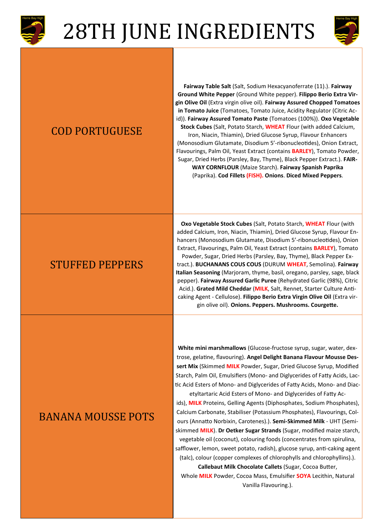



#### COD PORTUGUESE

**Fairway Table Salt** (Salt, Sodium Hexacyanoferrate (11).). **Fairway Ground White Pepper** (Ground White pepper). **Filippo Berio Extra Virgin Olive Oil** (Extra virgin olive oil). **Fairway Assured Chopped Tomatoes in Tomato Juice** (Tomatoes, Tomato Juice, Acidity Regulator (Citric Acid)). **Fairway Assured Tomato Paste** (Tomatoes (100%)). **Oxo Vegetable Stock Cubes** (Salt, Potato Starch, **WHEAT** Flour (with added Calcium, Iron, Niacin, Thiamin), Dried Glucose Syrup, Flavour Enhancers (Monosodium Glutamate, Disodium 5'-ribonucleotides), Onion Extract, Flavourings, Palm Oil, Yeast Extract (contains **BARLEY**), Tomato Powder, Sugar, Dried Herbs (Parsley, Bay, Thyme), Black Pepper Extract.). **FAIR-WAY CORNFLOUR** (Maize Starch). **Fairway Spanish Paprika**  (Paprika). **Cod Fillets (FISH). Onions**. **Diced Mixed Peppers**.

#### STUFFED PEPPERS

**Oxo Vegetable Stock Cubes** (Salt, Potato Starch, **WHEAT** Flour (with added Calcium, Iron, Niacin, Thiamin), Dried Glucose Syrup, Flavour Enhancers (Monosodium Glutamate, Disodium 5'-ribonucleotides), Onion Extract, Flavourings, Palm Oil, Yeast Extract (contains **BARLEY**), Tomato Powder, Sugar, Dried Herbs (Parsley, Bay, Thyme), Black Pepper Extract.). **BUCHANANS COUS COUS** (DURUM **WHEAT**, Semolina). **Fairway Italian Seasoning** (Marjoram, thyme, basil, oregano, parsley, sage, black pepper). **Fairway Assured Garlic Puree** (Rehydrated Garlic (98%), Citric Acid.). **Grated Mild Cheddar** (**MILK**, Salt, Rennet, Starter Culture Anticaking Agent - Cellulose). **Filippo Berio Extra Virgin Olive Oil** (Extra virgin olive oil). **Onions. Peppers. Mushrooms. Courgette.** 

#### BANANA MOUSSE POTS

**White mini marshmallows** (Glucose-fructose syrup, sugar, water, dextrose, gelatine, flavouring). **Angel Delight Banana Flavour Mousse Dessert Mix** (Skimmed **MILK** Powder, Sugar, Dried Glucose Syrup, Modified Starch, Palm Oil, Emulsifiers (Mono- and Diglycerides of Fatty Acids, Lactic Acid Esters of Mono- and Diglycerides of Fatty Acids, Mono- and Diacetyltartaric Acid Esters of Mono- and Diglycerides of Fatty Ac-

ids), **MILK** Proteins, Gelling Agents (Diphosphates, Sodium Phosphates), Calcium Carbonate, Stabiliser (Potassium Phosphates), Flavourings, Colours (Annatto Norbixin, Carotenes).). **Semi-Skimmed Milk** - UHT (Semiskimmed **MILK**). **Dr Oetker Sugar Strands** (Sugar, modified maize starch, vegetable oil (coconut), colouring foods (concentrates from spirulina, safflower, lemon, sweet potato, radish), glucose syrup, anti-caking agent (talc), colour (copper complexes of chlorophylls and chlorophyllins).).

**Callebaut Milk Chocolate Callets** (Sugar, Cocoa Butter, Whole **MILK** Powder, Cocoa Mass, Emulsifier **SOYA** Lecithin, Natural Vanilla Flavouring.).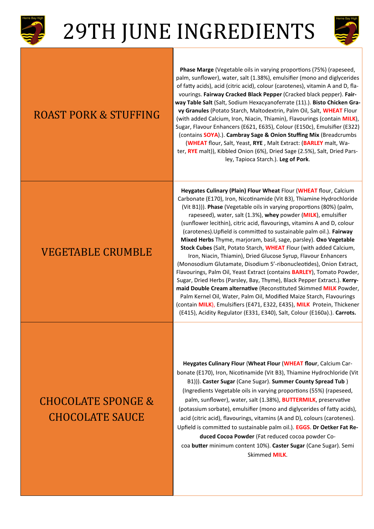



#### ROAST PORK & STUFFING

#### VEGETABLE CRUMBLE

**Phase Marge** (Vegetable oils in varying proportions (75%) (rapeseed, palm, sunflower), water, salt (1.38%), emulsifier (mono and diglycerides of fatty acids), acid (citric acid), colour (carotenes), vitamin A and D, flavourings. **Fairway Cracked Black Pepper** (Cracked black pepper). **Fairway Table Salt** (Salt, Sodium Hexacyanoferrate (11).). **Bisto Chicken Gravy Granules** (Potato Starch, Maltodextrin, Palm Oil, Salt, **WHEAT** Flour (with added Calcium, Iron, Niacin, Thiamin), Flavourings (contain **MILK**), Sugar, Flavour Enhancers (E621, E635), Colour (E150c), Emulsifier (E322) (contains **SOYA**).). **Cambray Sage & Onion Stuffing Mix** (Breadcrumbs (**WHEAT** flour, Salt, Yeast, **RYE** , Malt Extract: (**BARLEY** malt, Water, **RYE** malt)), Kibbled Onion (6%), Dried Sage (2.5%), Salt, Dried Parsley, Tapioca Starch.). **Leg of Pork**.

**Heygates Culinary (Plain) Flour Wheat** Flour (**WHEAT** flour, Calcium Carbonate (E170), Iron, Nicotinamide (Vit B3), Thiamine Hydrochloride (Vit B1))). **Phase** (Vegetable oils in varying proportions (80%) (palm, rapeseed), water, salt (1.3%), **whey** powder (**MILK**), emulsifier (sunflower lecithin), citric acid, flavourings, vitamins A and D, colour (carotenes).Upfield is committed to sustainable palm oil.). **Fairway Mixed Herbs** Thyme, marjoram, basil, sage, parsley). **Oxo Vegetable Stock Cubes** (Salt, Potato Starch, **WHEAT** Flour (with added Calcium, Iron, Niacin, Thiamin), Dried Glucose Syrup, Flavour Enhancers (Monosodium Glutamate, Disodium 5'-ribonucleotides), Onion Extract, Flavourings, Palm Oil, Yeast Extract (contains **BARLEY**), Tomato Powder, Sugar, Dried Herbs (Parsley, Bay, Thyme), Black Pepper Extract.). **Kerry-**

**maid Double Cream alternative** (Reconstituted Skimmed **MILK** Powder, Palm Kernel Oil, Water, Palm Oil, Modified Maize Starch, Flavourings (contain **MILK**), Emulsifiers (E471, E322, E435), **MILK** Protein, Thickener (E415), Acidity Regulator (E331, E340), Salt, Colour (E160a).). **Carrots.** 

### CHOCOLATE SPONGE & CHOCOLATE SAUCE

**Heygates Culinary Flour** (**Wheat Flour** (**WHEAT flour**, Calcium Carbonate (E170), Iron, Nicotinamide (Vit B3), Thiamine Hydrochloride (Vit B1))). **Caster Sugar** (Cane Sugar). **Summer County Spread Tub** ) (Ingredients Vegetable oils in varying proportions (55%) (rapeseed, palm, sunflower), water, salt (1.38%), **BUTTERMILK**, preservative (potassium sorbate), emulsifier (mono and diglycerides of fatty acids), acid (citric acid), flavourings, vitamins (A and D), colours (carotenes). Upfield is committed to sustainable palm oil.). **EGGS**. **Dr Oetker Fat Reduced Cocoa Powder** (Fat reduced cocoa powder Cocoa **butter** minimum content 10%). **Caster Sugar** (Cane Sugar). Semi Skimmed **MILK**.